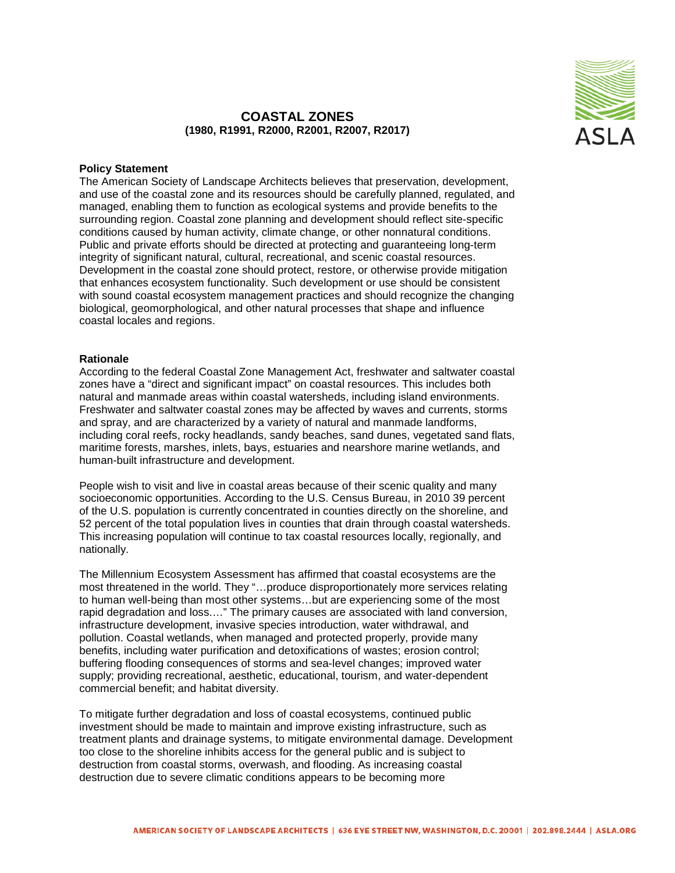

## **COASTAL ZONES (1980, R1991, R2000, R2001, R2007, R2017)**

## **Policy Statement**

The American Society of Landscape Architects believes that preservation, development, and use of the coastal zone and its resources should be carefully planned, regulated, and managed, enabling them to function as ecological systems and provide benefits to the surrounding region. Coastal zone planning and development should reflect site-specific conditions caused by human activity, climate change, or other nonnatural conditions. Public and private efforts should be directed at protecting and guaranteeing long-term integrity of significant natural, cultural, recreational, and scenic coastal resources. Development in the coastal zone should protect, restore, or otherwise provide mitigation that enhances ecosystem functionality. Such development or use should be consistent with sound coastal ecosystem management practices and should recognize the changing biological, geomorphological, and other natural processes that shape and influence coastal locales and regions.

## **Rationale**

According to the federal Coastal Zone Management Act, freshwater and saltwater coastal zones have a "direct and significant impact" on coastal resources. This includes both natural and manmade areas within coastal watersheds, including island environments. Freshwater and saltwater coastal zones may be affected by waves and currents, storms and spray, and are characterized by a variety of natural and manmade landforms, including coral reefs, rocky headlands, sandy beaches, sand dunes, vegetated sand flats, maritime forests, marshes, inlets, bays, estuaries and nearshore marine wetlands, and human-built infrastructure and development.

People wish to visit and live in coastal areas because of their scenic quality and many socioeconomic opportunities. According to the U.S. Census Bureau, in 2010 39 percent of the U.S. population is currently concentrated in counties directly on the shoreline, and 52 percent of the total population lives in counties that drain through coastal watersheds. This increasing population will continue to tax coastal resources locally, regionally, and nationally.

The Millennium Ecosystem Assessment has affirmed that coastal ecosystems are the most threatened in the world. They "…produce disproportionately more services relating to human well-being than most other systems…but are experiencing some of the most rapid degradation and loss.…" The primary causes are associated with land conversion, infrastructure development, invasive species introduction, water withdrawal, and pollution. Coastal wetlands, when managed and protected properly, provide many benefits, including water purification and detoxifications of wastes; erosion control; buffering flooding consequences of storms and sea-level changes; improved water supply; providing recreational, aesthetic, educational, tourism, and water-dependent commercial benefit; and habitat diversity.

To mitigate further degradation and loss of coastal ecosystems, continued public investment should be made to maintain and improve existing infrastructure, such as treatment plants and drainage systems, to mitigate environmental damage. Development too close to the shoreline inhibits access for the general public and is subject to destruction from coastal storms, overwash, and flooding. As increasing coastal destruction due to severe climatic conditions appears to be becoming more